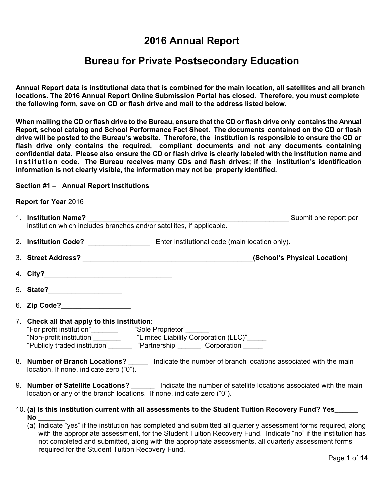# **Bureau for Private Postsecondary Education**

 **the following form, save on CD or flash drive and mail to the address listed below. Annual Report data is institutional data that is combined for the main location, all satellites and all branch locations. The 2016 Annual Report Online Submission Portal has closed. Therefore, you must complete** 

 **When mailing the CD or flash drive to the Bureau, ensure that the CD or flash drive only contains the Annual drive will be posted to the Bureau's website. Therefore, the institution is responsible to ensure the CD or confidential data. Please also ensure the CD or flash drive is clearly labeled with the institution name and information is not clearly visible, the information may not be properly identified.** illing the CD or flash drive to tl<br>chool catalog and School Per<br>be posted to the Bureau's we<br>ve only contains the requil<br>tial data. Please also ensure **2016 Annual Report**<br> **Private Postsecondar**<br> **Private Postsecondar**<br> **Prime Submission Portal has clouding Submission Portal has clouding and mail to the address<br>
<b>e Bureau, ensure that the CD of**<br> **Dormance Fact Sheet. T Report, school catalog and School Performance Fact Sheet. The documents contained on the CD or flash flash drive only contains the required, compliant documents and not any documents containing institution code. The Bureau receives many CDs and flash drives; if the institution's identification**

### **Section #1 – Annual Report Institutions**

### **Report for Year** 2016

| 1. Institution Name?<br>Submit one report per<br><b>Institution Name?</b><br>institution which includes branches and/or satellites, if applicable.                                                                           |
|------------------------------------------------------------------------------------------------------------------------------------------------------------------------------------------------------------------------------|
|                                                                                                                                                                                                                              |
|                                                                                                                                                                                                                              |
|                                                                                                                                                                                                                              |
|                                                                                                                                                                                                                              |
| 6. Zip Code?___________________                                                                                                                                                                                              |
| 7. Check all that apply to this institution:                                                                                                                                                                                 |
| 8. Number of Branch Locations? Indicate the number of branch locations associated with the main<br>location. If none, indicate zero ("0").                                                                                   |
| 9. Number of Satellite Locations? _______ Indicate the number of satellite locations associated with the main<br>location or any of the branch locations. If none, indicate zero ("0").                                      |
| 10. (a) Is this institution current with all assessments to the Student Tuition Recovery Fund? Yes______<br>(a) Indicate "yes" if the institution has completed and submitted all quarterly assessment forms required. along |

(a) Indicate "yes" if the institution has completed and submitted all quarterly assessment forms required, along with the appropriate assessment, for the Student Tuition Recovery Fund. Indicate "no" if the institution has not completed and submitted, along with the appropriate assessments, all quarterly assessment forms required for the Student Tuition Recovery Fund.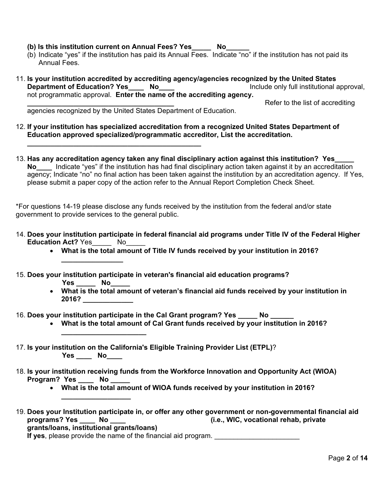- **(b) Is this institution current on Annual Fees? Yes\_\_\_\_\_ No\_\_\_\_\_\_**
- (b) Indicate "yes" if the institution has paid its Annual Fees. Indicate "no" if the institution has not paid its Annual Fees.
- 11. **Is your institution accredited by accrediting agency/agencies recognized by the United States Department of Education? Yes\_\_\_\_ No\_\_\_\_ Include only full institutional approval,** not programmatic approval. **Enter the name of the accrediting agency.**

**\_\_\_\_\_\_\_\_\_\_\_\_\_\_\_\_\_\_\_\_\_\_\_\_\_\_\_\_\_\_\_\_\_\_\_\_\_\_** Refer to the list of accrediting

agencies recognized by the United States Department of Education.

- 12. **If your institution has specialized accreditation from a recognized United States Department of Education approved specialized/programmatic accreditor, List the accreditation.**
- **\_\_\_\_\_\_\_\_\_\_\_\_\_\_\_\_\_\_\_\_\_\_\_\_\_\_\_\_\_\_\_\_\_\_\_\_\_\_\_\_\_\_\_\_\_** 13. **Has any accreditation agency taken any final disciplinary action against this institution? Yes\_\_\_\_\_ No\_\_\_\_** Indicate "yes" if the institution has had final disciplinary action taken against it by an accreditation agency; Indicate "no" no final action has been taken against the institution by an accreditation agency. If Yes, please submit a paper copy of the action refer to the Annual Report Completion Check Sheet.

\*For questions 14-19 please disclose any funds received by the institution from the federal and/or state government to provide services to the general public.

- 14. **Does your institution participate in federal financial aid programs under Title IV of the Federal Higher Education Act?** Yes No
	- **What is the total amount of Title IV funds received by your institution in 2016?**
- 15. **Does your institution participate in veteran's financial aid education programs?** 
	- **Yes \_\_\_\_\_ No\_\_\_\_\_**

**\_\_\_\_\_\_\_\_\_\_\_\_\_\_\_\_\_\_\_\_\_\_**

**\_\_\_\_\_\_\_\_\_\_\_\_\_\_\_\_\_\_** 

**\_\_\_\_\_\_\_\_\_\_\_\_\_\_\_\_**

- **What is the total amount of veteran's financial aid funds received by your institution in 2016? \_\_\_\_\_\_\_\_\_\_\_\_\_**
- 16. **Does your institution participate in the Cal Grant program? Yes \_\_\_\_\_ No \_\_\_\_\_\_** 
	- **What is the total amount of Cal Grant funds received by your institution in 2016?**
- 17. **Is your institution on the California's Eligible Training Provider List (ETPL)**? **Yes \_\_\_\_ No\_\_\_\_**
- 18. **Is your institution receiving funds from the Workforce Innovation and Opportunity Act (WIOA)**  Program? Yes **No** 
	- **What is the total amount of WIOA funds received by your institution in 2016?**
- 19. **Does your Institution participate in, or offer any other government or non-governmental financial aid programs? Yes \_\_\_\_ No \_\_\_\_ (i.e., WIC, vocational rehab, private grants/loans, institutional grants/loans) If yes**, please provide the name of the financial aid program.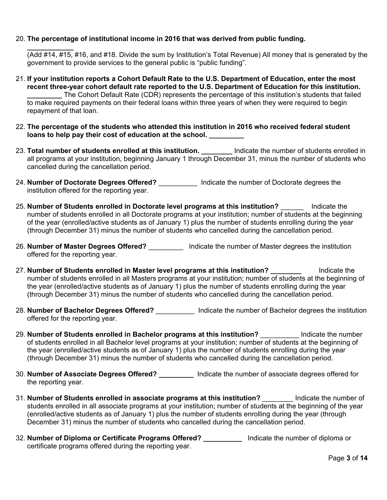## 20. **The percentage of institutional income in 2016 that was derived from public funding.**

**\_\_\_\_\_\_\_\_\_\_\_\_** 

(Add #14, #15, #16, and #18. Divide the sum by Institution's Total Revenue) All money that is generated by the government to provide services to the general public is "public funding".

- 21. **If your institution reports a Cohort Default Rate to the U.S. Department of Education, enter the most recent three-year cohort default rate reported to the U.S. Department of Education for this institution. \_\_\_\_\_\_\_\_\_** The Cohort Default Rate (CDR) represents the percentage of this institution's students that failed to make required payments on their federal loans within three years of when they were required to begin repayment of that loan.
- 22. **The percentage of the students who attended this institution in 2016 who received federal student loans to help pay their cost of education at the school. \_\_\_\_\_\_\_\_\_**
- 23. **Total number of students enrolled at this institution. \_\_\_\_\_\_\_\_** Indicate the number of students enrolled in all programs at your institution, beginning January 1 through December 31, minus the number of students who cancelled during the cancellation period.
- 24. **Number of Doctorate Degrees Offered?** \_\_\_\_\_\_\_\_\_\_ Indicate the number of Doctorate degrees the institution offered for the reporting year.
- 25. **Number of Students enrolled in Doctorate level programs at this institution?** \_\_\_\_\_\_ Indicate the number of students enrolled in all Doctorate programs at your institution; number of students at the beginning of the year (enrolled/active students as of January 1) plus the number of students enrolling during the year (through December 31) minus the number of students who cancelled during the cancellation period.
- 26. **Number of Master Degrees Offered?** \_\_\_\_\_\_\_\_\_ Indicate the number of Master degrees the institution offered for the reporting year.
- 27. **Number of Students enrolled in Master level programs at this institution? \_\_\_\_\_\_\_\_** Indicate the number of students enrolled in all Masters programs at your institution; number of students at the beginning of the year (enrolled/active students as of January 1) plus the number of students enrolling during the year (through December 31) minus the number of students who cancelled during the cancellation period.
- 28. **Number of Bachelor Degrees Offered?** \_\_\_\_\_\_\_\_\_\_ Indicate the number of Bachelor degrees the institution offered for the reporting year.
- 29. **Number of Students enrolled in Bachelor programs at this institution?** The lindicate the number of students enrolled in all Bachelor level programs at your institution; number of students at the beginning of the year (enrolled/active students as of January 1) plus the number of students enrolling during the year (through December 31) minus the number of students who cancelled during the cancellation period.
- 30. **Number of Associate Degrees Offered? \_\_\_\_\_\_\_\_\_** Indicate the number of associate degrees offered for the reporting year.
- 31. **Number of Students enrolled in associate programs at this institution?** \_\_\_\_\_\_\_\_ Indicate the number of students enrolled in all associate programs at your institution; number of students at the beginning of the year (enrolled/active students as of January 1) plus the number of students enrolling during the year (through December 31) minus the number of students who cancelled during the cancellation period.
- 32. **Number of Diploma or Certificate Programs Offered? \_\_\_\_\_\_\_\_\_\_** Indicate the number of diploma or certificate programs offered during the reporting year.